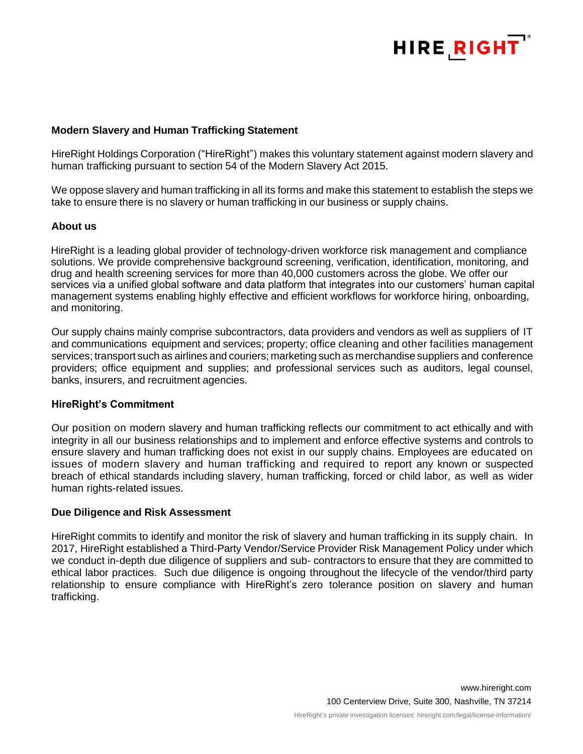

### **Modern Slavery and Human Trafficking Statement**

HireRight Holdings Corporation ("HireRight") makes this voluntary statement against modern slavery and human trafficking pursuant to section 54 of the Modern Slavery Act 2015.

We oppose slavery and human trafficking in all its forms and make this statement to establish the steps we take to ensure there is no slavery or human trafficking in our business or supply chains.

### **About us**

HireRight is a leading global provider of technology-driven workforce risk management and compliance solutions. We provide comprehensive background screening, verification, identification, monitoring, and drug and health screening services for more than 40,000 customers across the globe. We offer our services via a unified global software and data platform that integrates into our customers' human capital management systems enabling highly effective and efficient workflows for workforce hiring, onboarding, and monitoring.

Our supply chains mainly comprise subcontractors, data providers and vendors as well as suppliers of IT and communications equipment and services; property; office cleaning and other facilities management services; transport such as airlines and couriers; marketing such as merchandise suppliers and conference providers; office equipment and supplies; and professional services such as auditors, legal counsel, banks, insurers, and recruitment agencies.

### **HireRight's Commitment**

Our position on modern slavery and human trafficking reflects our commitment to act ethically and with integrity in all our business relationships and to implement and enforce effective systems and controls to ensure slavery and human trafficking does not exist in our supply chains. Employees are educated on issues of modern slavery and human trafficking and required to report any known or suspected breach of ethical standards including slavery, human trafficking, forced or child labor, as well as wider human rights-related issues.

### **Due Diligence and Risk Assessment**

HireRight commits to identify and monitor the risk of slavery and human trafficking in its supply chain. In 2017, HireRight established a Third-Party Vendor/Service Provider Risk Management Policy under which we conduct in-depth due diligence of suppliers and sub- contractors to ensure that they are committed to ethical labor practices. Such due diligence is ongoing throughout the lifecycle of the vendor/third party relationship to ensure compliance with HireRight's zero tolerance position on slavery and human trafficking.